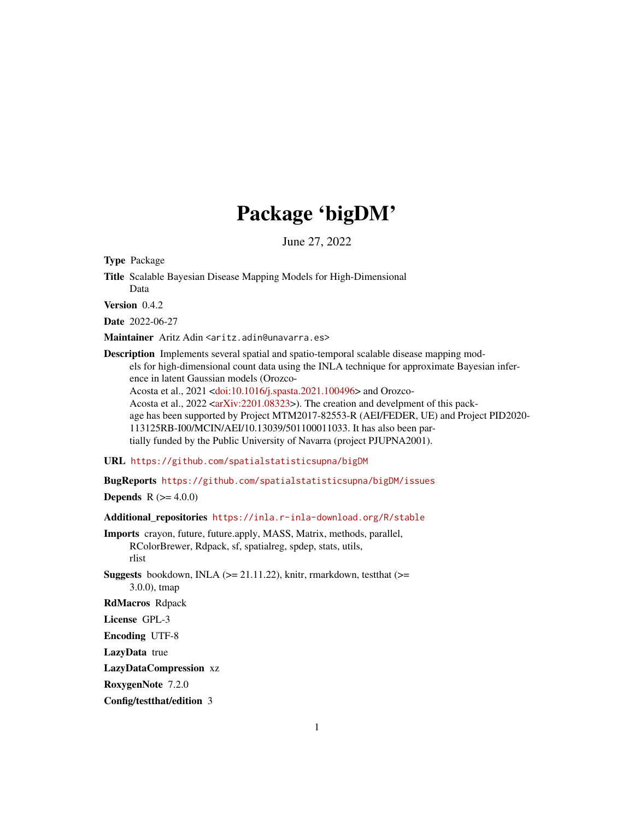# Package 'bigDM'

June 27, 2022

<span id="page-0-0"></span>Type Package

Title Scalable Bayesian Disease Mapping Models for High-Dimensional Data

Version 0.4.2

Date 2022-06-27

Maintainer Aritz Adin <aritz.adin@unavarra.es>

Description Implements several spatial and spatio-temporal scalable disease mapping models for high-dimensional count data using the INLA technique for approximate Bayesian inference in latent Gaussian models (Orozco-Acosta et al., 2021 [<doi:10.1016/j.spasta.2021.100496>](https://doi.org/10.1016/j.spasta.2021.100496) and Orozco-Acosta et al., 2022 [<arXiv:2201.08323>](https://arxiv.org/abs/2201.08323)). The creation and develpment of this package has been supported by Project MTM2017-82553-R (AEI/FEDER, UE) and Project PID2020- 113125RB-I00/MCIN/AEI/10.13039/501100011033. It has also been partially funded by the Public University of Navarra (project PJUPNA2001).

URL <https://github.com/spatialstatisticsupna/bigDM>

BugReports <https://github.com/spatialstatisticsupna/bigDM/issues>

**Depends** R  $(>= 4.0.0)$ 

Additional\_repositories <https://inla.r-inla-download.org/R/stable>

Imports crayon, future, future.apply, MASS, Matrix, methods, parallel, RColorBrewer, Rdpack, sf, spatialreg, spdep, stats, utils, rlist

**Suggests** bookdown, INLA ( $>= 21.11.22$ ), knitr, rmarkdown, test that ( $>=$ 3.0.0), tmap

RdMacros Rdpack

License GPL-3

Encoding UTF-8

LazyData true

LazyDataCompression xz

RoxygenNote 7.2.0

Config/testthat/edition 3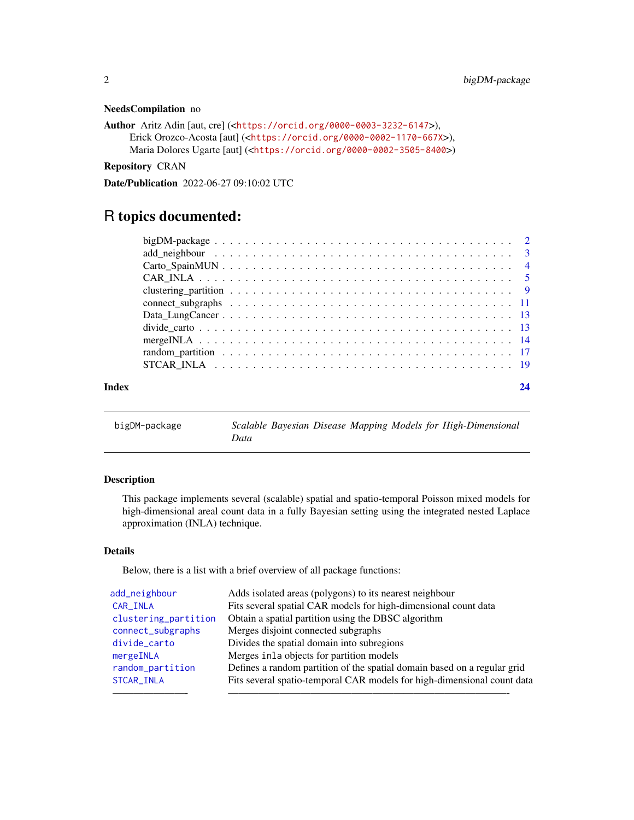#### <span id="page-1-0"></span>NeedsCompilation no

```
Author Aritz Adin [aut, cre] (<https://orcid.org/0000-0003-3232-6147>),
     Erick Orozco-Acosta [aut] (<https://orcid.org/0000-0002-1170-667X>),
     Maria Dolores Ugarte [aut] (<https://orcid.org/0000-0002-3505-8400>)
```
Repository CRAN

Date/Publication 2022-06-27 09:10:02 UTC

## R topics documented:

| Index | 24 |
|-------|----|

| bigDM-package |      |  |  | Scalable Bayesian Disease Mapping Models for High-Dimensional |
|---------------|------|--|--|---------------------------------------------------------------|
|               | Data |  |  |                                                               |

#### Description

This package implements several (scalable) spatial and spatio-temporal Poisson mixed models for high-dimensional areal count data in a fully Bayesian setting using the integrated nested Laplace approximation (INLA) technique.

#### Details

Below, there is a list with a brief overview of all package functions:

| add_neighbour        | Adds isolated areas (polygons) to its nearest neighbour                  |
|----------------------|--------------------------------------------------------------------------|
| CAR_INLA             | Fits several spatial CAR models for high-dimensional count data          |
| clustering_partition | Obtain a spatial partition using the DBSC algorithm                      |
| connect_subgraphs    | Merges disjoint connected subgraphs                                      |
| divide_carto         | Divides the spatial domain into subregions                               |
| mergeINLA            | Merges inla objects for partition models                                 |
| random_partition     | Defines a random partition of the spatial domain based on a regular grid |
| STCAR_INLA           | Fits several spatio-temporal CAR models for high-dimensional count data  |
|                      |                                                                          |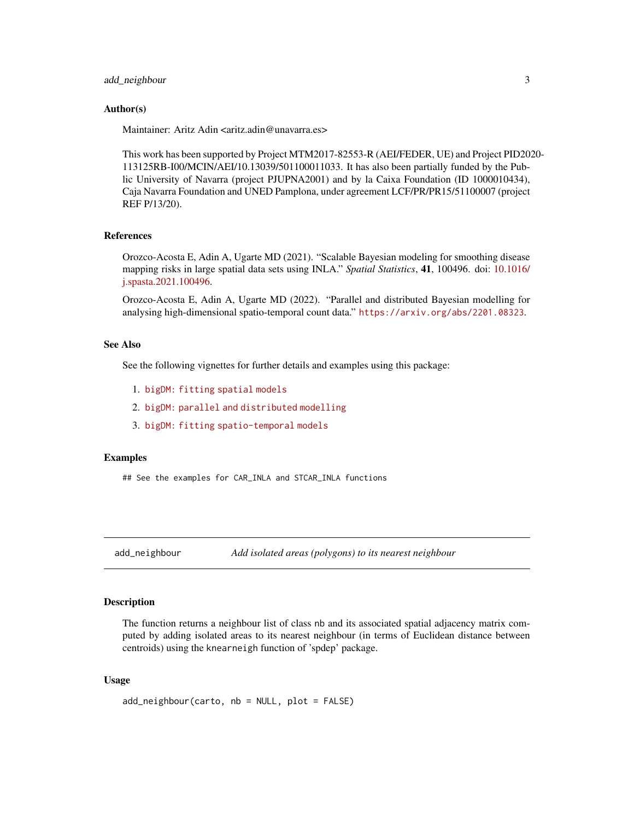#### <span id="page-2-0"></span>add\_neighbour 3

#### Author(s)

Maintainer: Aritz Adin <aritz.adin@unavarra.es>

This work has been supported by Project MTM2017-82553-R (AEI/FEDER, UE) and Project PID2020- 113125RB-I00/MCIN/AEI/10.13039/501100011033. It has also been partially funded by the Public University of Navarra (project PJUPNA2001) and by la Caixa Foundation (ID 1000010434), Caja Navarra Foundation and UNED Pamplona, under agreement LCF/PR/PR15/51100007 (project REF P/13/20).

#### References

Orozco-Acosta E, Adin A, Ugarte MD (2021). "Scalable Bayesian modeling for smoothing disease mapping risks in large spatial data sets using INLA." *Spatial Statistics*, 41, 100496. doi: [10.1016/](https://doi.org/10.1016/j.spasta.2021.100496) [j.spasta.2021.100496.](https://doi.org/10.1016/j.spasta.2021.100496)

Orozco-Acosta E, Adin A, Ugarte MD (2022). "Parallel and distributed Bayesian modelling for analysing high-dimensional spatio-temporal count data." <https://arxiv.org/abs/2201.08323>.

#### See Also

See the following vignettes for further details and examples using this package:

- 1. [bigDM: fitting spatial models](https://emi-sstcdapp.unavarra.es/bigDM/bigDM-1-fitting-spatial-models.html)
- 2. [bigDM: parallel and distributed modelling](https://emi-sstcdapp.unavarra.es/bigDM/bigDM-2-parallel-and-distributed-modelling.html)
- 3. [bigDM: fitting spatio-temporal models](https://emi-sstcdapp.unavarra.es/bigDM/bigDM-3-fitting-spatio-temporal-models.html)

#### Examples

## See the examples for CAR\_INLA and STCAR\_INLA functions

<span id="page-2-1"></span>add\_neighbour *Add isolated areas (polygons) to its nearest neighbour*

#### Description

The function returns a neighbour list of class nb and its associated spatial adjacency matrix computed by adding isolated areas to its nearest neighbour (in terms of Euclidean distance between centroids) using the knearneigh function of 'spdep' package.

#### Usage

add\_neighbour(carto, nb = NULL, plot = FALSE)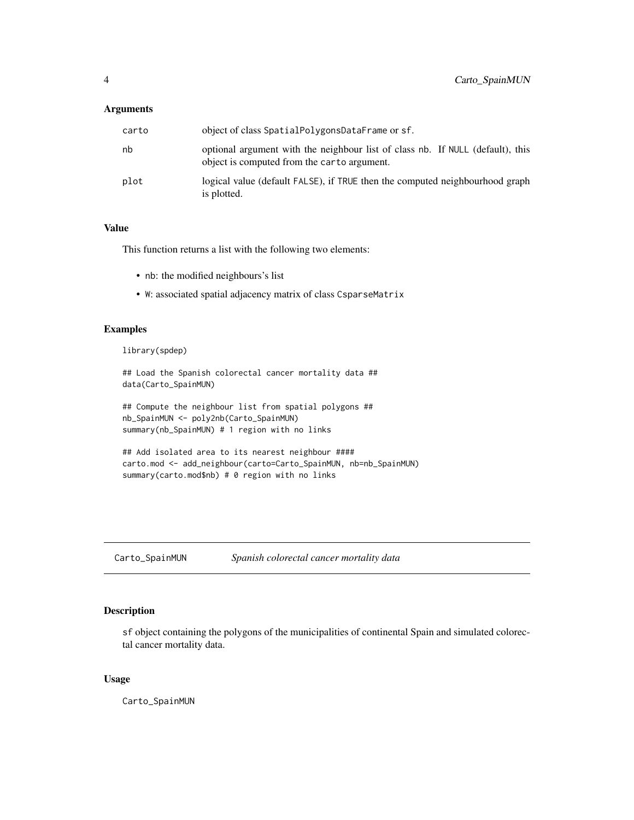#### <span id="page-3-0"></span>Arguments

| carto | object of class SpatialPolygonsDataFrame or sf.                                                                               |
|-------|-------------------------------------------------------------------------------------------------------------------------------|
| nb    | optional argument with the neighbour list of class nb. If NULL (default), this<br>object is computed from the carto argument. |
| plot  | logical value (default FALSE), if TRUE then the computed neighbourhood graph<br>is plotted.                                   |

#### Value

This function returns a list with the following two elements:

- nb: the modified neighbours's list
- W: associated spatial adjacency matrix of class CsparseMatrix

#### Examples

library(spdep)

```
## Load the Spanish colorectal cancer mortality data ##
data(Carto_SpainMUN)
```

```
## Compute the neighbour list from spatial polygons ##
nb_SpainMUN <- poly2nb(Carto_SpainMUN)
summary(nb_SpainMUN) # 1 region with no links
```

```
## Add isolated area to its nearest neighbour ####
carto.mod <- add_neighbour(carto=Carto_SpainMUN, nb=nb_SpainMUN)
summary(carto.mod$nb) # 0 region with no links
```
Carto\_SpainMUN *Spanish colorectal cancer mortality data*

#### Description

sf object containing the polygons of the municipalities of continental Spain and simulated colorectal cancer mortality data.

#### Usage

Carto\_SpainMUN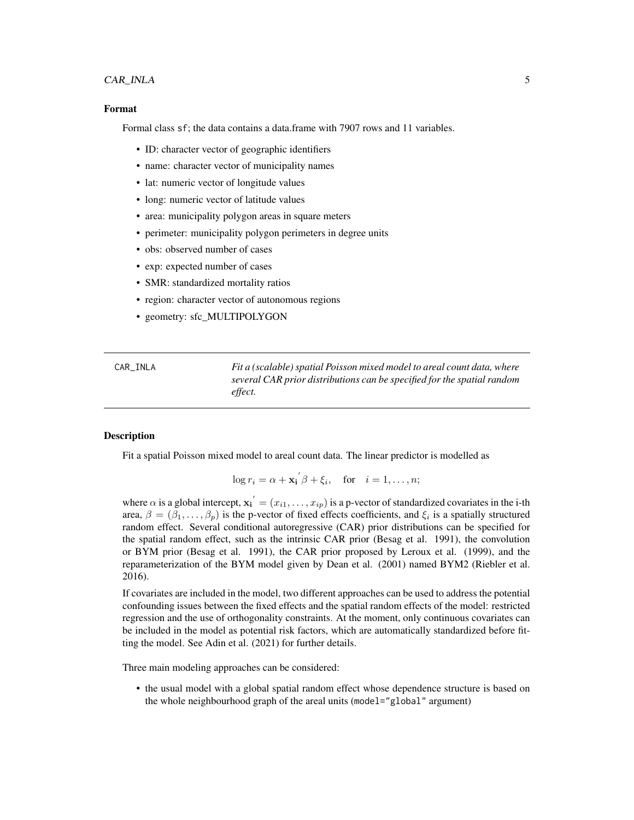#### <span id="page-4-0"></span>CAR\_INLA 5

#### Format

Formal class sf; the data contains a data.frame with 7907 rows and 11 variables.

- ID: character vector of geographic identifiers
- name: character vector of municipality names
- lat: numeric vector of longitude values
- long: numeric vector of latitude values
- area: municipality polygon areas in square meters
- perimeter: municipality polygon perimeters in degree units
- obs: observed number of cases
- exp: expected number of cases
- SMR: standardized mortality ratios
- region: character vector of autonomous regions
- geometry: sfc\_MULTIPOLYGON

<span id="page-4-1"></span>

| CAR INLA | Fit a (scalable) spatial Poisson mixed model to areal count data, where |
|----------|-------------------------------------------------------------------------|
|          | several CAR prior distributions can be specified for the spatial random |
|          | effect.                                                                 |

#### Description

Fit a spatial Poisson mixed model to areal count data. The linear predictor is modelled as

$$
\log r_i = \alpha + \mathbf{x_i}' \beta + \xi_i, \quad \text{for} \quad i = 1, \dots, n;
$$

where  $\alpha$  is a global intercept,  $x_1' = (x_{i1}, \dots, x_{ip})$  is a p-vector of standardized covariates in the i-th area,  $\beta = (\beta_1, \dots, \beta_p)$  is the p-vector of fixed effects coefficients, and  $\xi_i$  is a spatially structured random effect. Several conditional autoregressive (CAR) prior distributions can be specified for the spatial random effect, such as the intrinsic CAR prior (Besag et al. 1991), the convolution or BYM prior (Besag et al. 1991), the CAR prior proposed by Leroux et al. (1999), and the reparameterization of the BYM model given by Dean et al. (2001) named BYM2 (Riebler et al. 2016).

If covariates are included in the model, two different approaches can be used to address the potential confounding issues between the fixed effects and the spatial random effects of the model: restricted regression and the use of orthogonality constraints. At the moment, only continuous covariates can be included in the model as potential risk factors, which are automatically standardized before fitting the model. See Adin et al. (2021) for further details.

Three main modeling approaches can be considered:

• the usual model with a global spatial random effect whose dependence structure is based on the whole neighbourhood graph of the areal units (model="global" argument)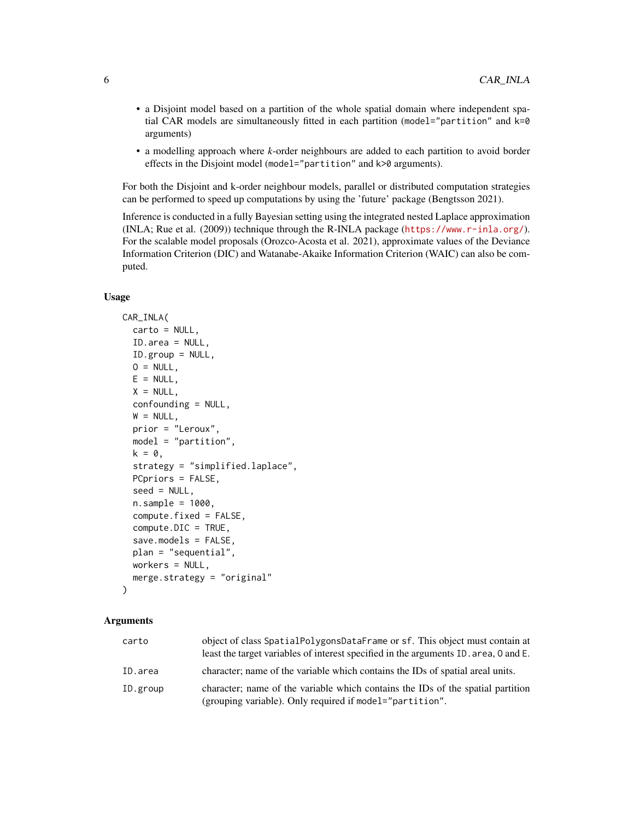- a Disjoint model based on a partition of the whole spatial domain where independent spatial CAR models are simultaneously fitted in each partition (model="partition" and k=0 arguments)
- a modelling approach where *k*-order neighbours are added to each partition to avoid border effects in the Disjoint model (model="partition" and k>0 arguments).

For both the Disjoint and k-order neighbour models, parallel or distributed computation strategies can be performed to speed up computations by using the 'future' package (Bengtsson 2021).

Inference is conducted in a fully Bayesian setting using the integrated nested Laplace approximation (INLA; Rue et al. (2009)) technique through the R-INLA package (<https://www.r-inla.org/>). For the scalable model proposals (Orozco-Acosta et al. 2021), approximate values of the Deviance Information Criterion (DIC) and Watanabe-Akaike Information Criterion (WAIC) can also be computed.

#### Usage

```
CAR_INLA(
  carto = NULL,
  ID.area = NULL,
  ID.group = NULL,
  0 = NULL,E = NULL,X = NULL,confounding = NULL,
  W = NULL,prior = "Leroux",
  model = "partition",
  k = 0,
  strategy = "simplified.laplace",
  PCpriors = FALSE,
  seed = NULL,
  n.sample = 1000,compute.fixed = FALSE,
  compute.DIC = TRUE,
  save.models = FALSE,
  plan = "sequential",
  workers = NULL,
  merge.strategy = "original"
)
```
#### Arguments

| carto    | object of class SpatialPolygonsDataFrame or sf. This object must contain at<br>least the target variables of interest specified in the arguments ID. area, 0 and E. |
|----------|---------------------------------------------------------------------------------------------------------------------------------------------------------------------|
| ID.area  | character; name of the variable which contains the IDs of spatial areal units.                                                                                      |
| ID.group | character; name of the variable which contains the IDs of the spatial partition<br>(grouping variable). Only required if model="partition".                         |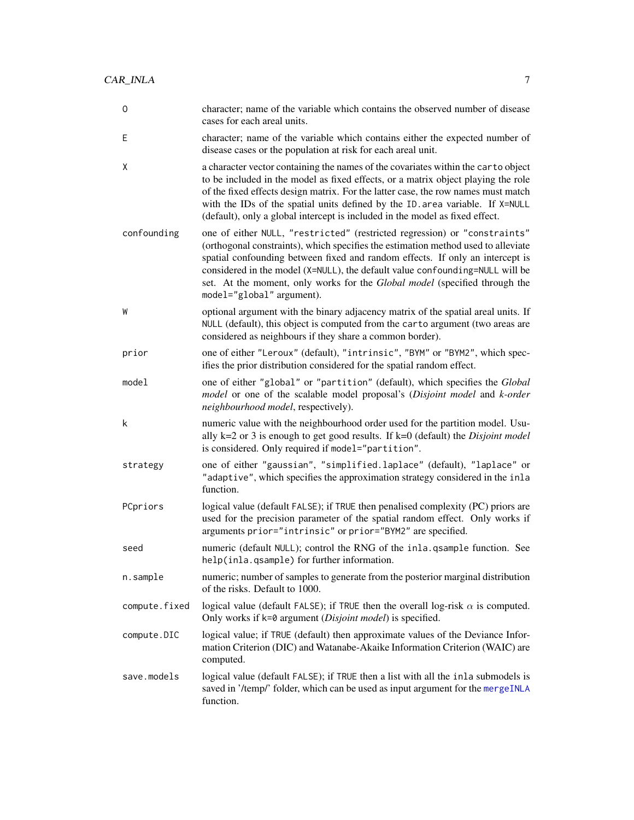<span id="page-6-0"></span>

| 0             | character; name of the variable which contains the observed number of disease<br>cases for each areal units.                                                                                                                                                                                                                                                                                                                               |
|---------------|--------------------------------------------------------------------------------------------------------------------------------------------------------------------------------------------------------------------------------------------------------------------------------------------------------------------------------------------------------------------------------------------------------------------------------------------|
| Ε             | character; name of the variable which contains either the expected number of<br>disease cases or the population at risk for each areal unit.                                                                                                                                                                                                                                                                                               |
| Χ             | a character vector containing the names of the covariates within the carto object<br>to be included in the model as fixed effects, or a matrix object playing the role<br>of the fixed effects design matrix. For the latter case, the row names must match<br>with the IDs of the spatial units defined by the ID. area variable. If X=NULL<br>(default), only a global intercept is included in the model as fixed effect.               |
| confounding   | one of either NULL, "restricted" (restricted regression) or "constraints"<br>(orthogonal constraints), which specifies the estimation method used to alleviate<br>spatial confounding between fixed and random effects. If only an intercept is<br>considered in the model (X=NULL), the default value confounding=NULL will be<br>set. At the moment, only works for the Global model (specified through the<br>model="global" argument). |
| W             | optional argument with the binary adjacency matrix of the spatial areal units. If<br>NULL (default), this object is computed from the carto argument (two areas are<br>considered as neighbours if they share a common border).                                                                                                                                                                                                            |
| prior         | one of either "Leroux" (default), "intrinsic", "BYM" or "BYM2", which spec-<br>ifies the prior distribution considered for the spatial random effect.                                                                                                                                                                                                                                                                                      |
| model         | one of either "global" or "partition" (default), which specifies the Global<br>model or one of the scalable model proposal's (Disjoint model and k-order<br>neighbourhood model, respectively).                                                                                                                                                                                                                                            |
| k             | numeric value with the neighbourhood order used for the partition model. Usu-<br>ally $k=2$ or 3 is enough to get good results. If $k=0$ (default) the <i>Disjoint model</i><br>is considered. Only required if model="partition".                                                                                                                                                                                                         |
| strategy      | one of either "gaussian", "simplified.laplace" (default), "laplace" or<br>"adaptive", which specifies the approximation strategy considered in the inla<br>function.                                                                                                                                                                                                                                                                       |
| PCpriors      | logical value (default FALSE); if TRUE then penalised complexity (PC) priors are<br>used for the precision parameter of the spatial random effect. Only works if<br>arguments prior="intrinsic" or prior="BYM2" are specified.                                                                                                                                                                                                             |
| seed          | numeric (default NULL); control the RNG of the inla.qsample function. See<br>help(inla.qsample) for further information.                                                                                                                                                                                                                                                                                                                   |
| n.sample      | numeric; number of samples to generate from the posterior marginal distribution<br>of the risks. Default to 1000.                                                                                                                                                                                                                                                                                                                          |
| compute.fixed | logical value (default FALSE); if TRUE then the overall log-risk $\alpha$ is computed.<br>Only works if k=0 argument (Disjoint model) is specified.                                                                                                                                                                                                                                                                                        |
| compute.DIC   | logical value; if TRUE (default) then approximate values of the Deviance Infor-<br>mation Criterion (DIC) and Watanabe-Akaike Information Criterion (WAIC) are<br>computed.                                                                                                                                                                                                                                                                |
| save.models   | logical value (default FALSE); if TRUE then a list with all the inla submodels is<br>saved in '/temp/' folder, which can be used as input argument for the mergeINLA<br>function.                                                                                                                                                                                                                                                          |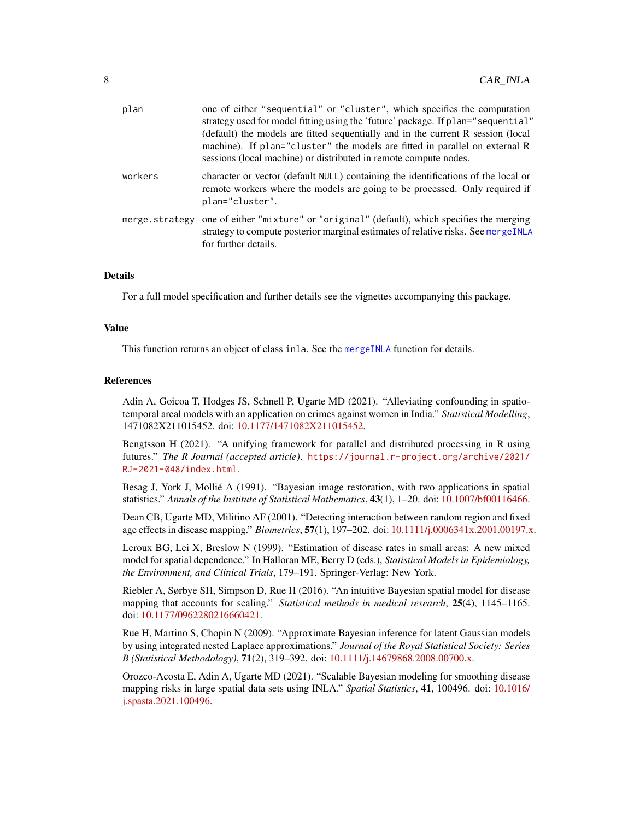<span id="page-7-0"></span>

| plan           | one of either "sequential" or "cluster", which specifies the computation<br>strategy used for model fitting using the 'future' package. If plan="sequential"<br>(default) the models are fitted sequentially and in the current R session (local<br>machine). If plan="cluster" the models are fitted in parallel on external R<br>sessions (local machine) or distributed in remote compute nodes. |
|----------------|-----------------------------------------------------------------------------------------------------------------------------------------------------------------------------------------------------------------------------------------------------------------------------------------------------------------------------------------------------------------------------------------------------|
| workers        | character or vector (default NULL) containing the identifications of the local or<br>remote workers where the models are going to be processed. Only required if<br>plan="cluster".                                                                                                                                                                                                                 |
| merge.strategy | one of either "mixture" or "original" (default), which specifies the merging<br>strategy to compute posterior marginal estimates of relative risks. See mergeINLA<br>for further details.                                                                                                                                                                                                           |

#### Details

For a full model specification and further details see the vignettes accompanying this package.

#### Value

This function returns an object of class inla. See the [mergeINLA](#page-13-1) function for details.

#### References

Adin A, Goicoa T, Hodges JS, Schnell P, Ugarte MD (2021). "Alleviating confounding in spatiotemporal areal models with an application on crimes against women in India." *Statistical Modelling*, 1471082X211015452. doi: [10.1177/1471082X211015452.](https://doi.org/10.1177/1471082X211015452)

Bengtsson H (2021). "A unifying framework for parallel and distributed processing in R using futures." *The R Journal (accepted article)*. [https://journal.r-project.org/archive/2021/](https://journal.r-project.org/archive/2021/RJ-2021-048/index.html) [RJ-2021-048/index.html](https://journal.r-project.org/archive/2021/RJ-2021-048/index.html).

Besag J, York J, Mollié A (1991). "Bayesian image restoration, with two applications in spatial statistics." *Annals of the Institute of Statistical Mathematics*, 43(1), 1–20. doi: [10.1007/bf00116466.](https://doi.org/10.1007/bf00116466)

Dean CB, Ugarte MD, Militino AF (2001). "Detecting interaction between random region and fixed age effects in disease mapping." *Biometrics*, 57(1), 197–202. doi: [10.1111/j.0006341x.2001.00197.x.](https://doi.org/10.1111/j.0006-341x.2001.00197.x)

Leroux BG, Lei X, Breslow N (1999). "Estimation of disease rates in small areas: A new mixed model for spatial dependence." In Halloran ME, Berry D (eds.), *Statistical Models in Epidemiology, the Environment, and Clinical Trials*, 179–191. Springer-Verlag: New York.

Riebler A, Sørbye SH, Simpson D, Rue H (2016). "An intuitive Bayesian spatial model for disease mapping that accounts for scaling." *Statistical methods in medical research*, 25(4), 1145–1165. doi: [10.1177/0962280216660421.](https://doi.org/10.1177/0962280216660421)

Rue H, Martino S, Chopin N (2009). "Approximate Bayesian inference for latent Gaussian models by using integrated nested Laplace approximations." *Journal of the Royal Statistical Society: Series B (Statistical Methodology)*, 71(2), 319–392. doi: [10.1111/j.14679868.2008.00700.x.](https://doi.org/10.1111/j.1467-9868.2008.00700.x)

Orozco-Acosta E, Adin A, Ugarte MD (2021). "Scalable Bayesian modeling for smoothing disease mapping risks in large spatial data sets using INLA." *Spatial Statistics*, 41, 100496. doi: [10.1016/](https://doi.org/10.1016/j.spasta.2021.100496) [j.spasta.2021.100496.](https://doi.org/10.1016/j.spasta.2021.100496)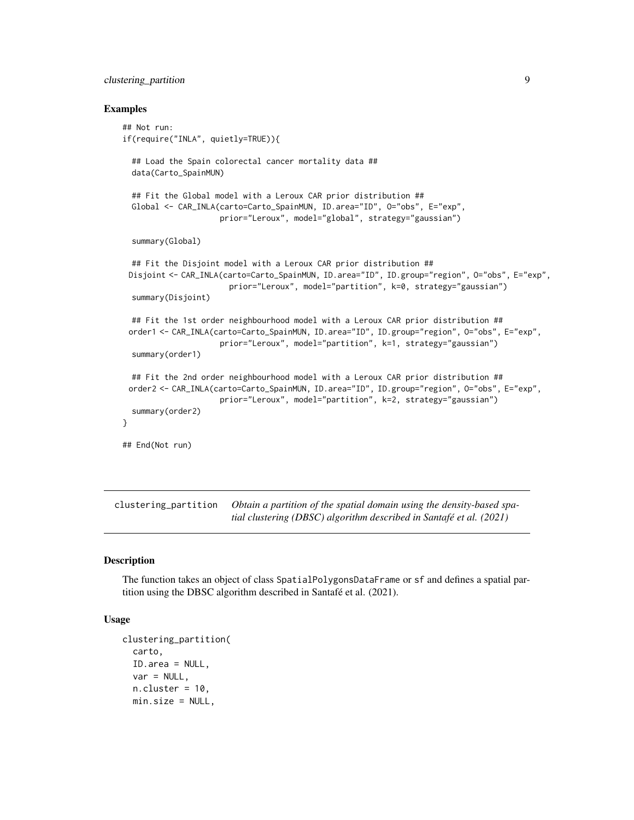#### <span id="page-8-0"></span>clustering\_partition 9

#### Examples

```
## Not run:
if(require("INLA", quietly=TRUE)){
 ## Load the Spain colorectal cancer mortality data ##
 data(Carto_SpainMUN)
 ## Fit the Global model with a Leroux CAR prior distribution ##
 Global <- CAR_INLA(carto=Carto_SpainMUN, ID.area="ID", O="obs", E="exp",
                     prior="Leroux", model="global", strategy="gaussian")
 summary(Global)
 ## Fit the Disjoint model with a Leroux CAR prior distribution ##
 Disjoint <- CAR_INLA(carto=Carto_SpainMUN, ID.area="ID", ID.group="region", O="obs", E="exp",
                       prior="Leroux", model="partition", k=0, strategy="gaussian")
 summary(Disjoint)
 ## Fit the 1st order neighbourhood model with a Leroux CAR prior distribution ##
 order1 <- CAR_INLA(carto=Carto_SpainMUN, ID.area="ID", ID.group="region", O="obs", E="exp",
                     prior="Leroux", model="partition", k=1, strategy="gaussian")
 summary(order1)
 ## Fit the 2nd order neighbourhood model with a Leroux CAR prior distribution ##
 order2 <- CAR_INLA(carto=Carto_SpainMUN, ID.area="ID", ID.group="region", O="obs", E="exp",
                     prior="Leroux", model="partition", k=2, strategy="gaussian")
 summary(order2)
}
## End(Not run)
```
<span id="page-8-1"></span>clustering\_partition *Obtain a partition of the spatial domain using the density-based spatial clustering (DBSC) algorithm described in Santafé et al. (2021)*

#### **Description**

The function takes an object of class SpatialPolygonsDataFrame or sf and defines a spatial partition using the DBSC algorithm described in Santafé et al. (2021).

#### Usage

```
clustering_partition(
  carto,
  ID.area = NULL,
  var = NULL,n.cluster = 10,
  min.size = NULL,
```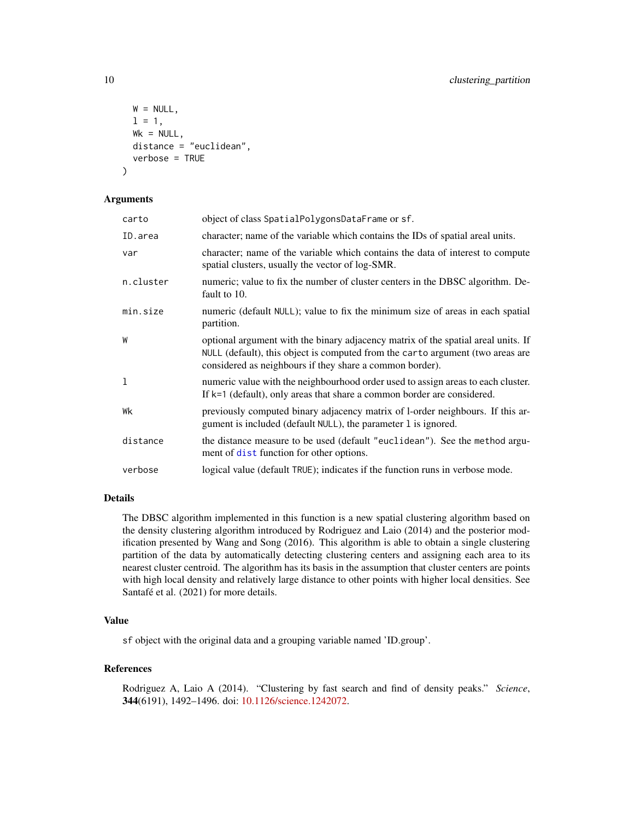```
W = NULL,1 = 1,
 Wk = NULL,
 distance = "euclidean",
  verbose = TRUE
)
```
#### Arguments

| carto     | object of class SpatialPolygonsDataFrame or sf.                                                                                                                                                                                 |
|-----------|---------------------------------------------------------------------------------------------------------------------------------------------------------------------------------------------------------------------------------|
| ID.area   | character; name of the variable which contains the IDs of spatial areal units.                                                                                                                                                  |
| var       | character; name of the variable which contains the data of interest to compute<br>spatial clusters, usually the vector of log-SMR.                                                                                              |
| n.cluster | numeric; value to fix the number of cluster centers in the DBSC algorithm. De-<br>fault to 10.                                                                                                                                  |
| min.size  | numeric (default NULL); value to fix the minimum size of areas in each spatial<br>partition.                                                                                                                                    |
| W         | optional argument with the binary adjacency matrix of the spatial areal units. If<br>NULL (default), this object is computed from the carto argument (two areas are<br>considered as neighbours if they share a common border). |
| 1         | numeric value with the neighbourhood order used to assign areas to each cluster.<br>If $k=1$ (default), only areas that share a common border are considered.                                                                   |
| Wk        | previously computed binary adjacency matrix of 1-order neighbours. If this ar-<br>gument is included (default NULL), the parameter 1 is ignored.                                                                                |
| distance  | the distance measure to be used (default "euclidean"). See the method argu-<br>ment of dist function for other options.                                                                                                         |
| verbose   | logical value (default TRUE); indicates if the function runs in verbose mode.                                                                                                                                                   |

#### Details

The DBSC algorithm implemented in this function is a new spatial clustering algorithm based on the density clustering algorithm introduced by Rodriguez and Laio (2014) and the posterior modification presented by Wang and Song (2016). This algorithm is able to obtain a single clustering partition of the data by automatically detecting clustering centers and assigning each area to its nearest cluster centroid. The algorithm has its basis in the assumption that cluster centers are points with high local density and relatively large distance to other points with higher local densities. See Santafé et al. (2021) for more details.

#### Value

sf object with the original data and a grouping variable named 'ID.group'.

#### References

Rodriguez A, Laio A (2014). "Clustering by fast search and find of density peaks." *Science*, 344(6191), 1492–1496. doi: [10.1126/science.1242072.](https://doi.org/10.1126/science.1242072)

<span id="page-9-0"></span>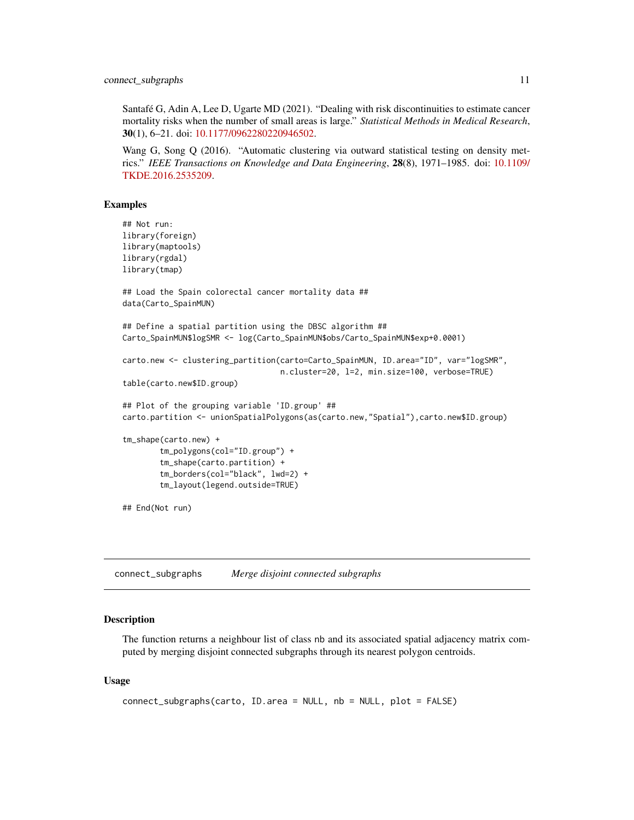<span id="page-10-0"></span>Santafé G, Adin A, Lee D, Ugarte MD (2021). "Dealing with risk discontinuities to estimate cancer mortality risks when the number of small areas is large." *Statistical Methods in Medical Research*, 30(1), 6–21. doi: [10.1177/0962280220946502.](https://doi.org/10.1177/0962280220946502)

Wang G, Song Q (2016). "Automatic clustering via outward statistical testing on density metrics." *IEEE Transactions on Knowledge and Data Engineering*, 28(8), 1971–1985. doi: [10.1109/](https://doi.org/10.1109/TKDE.2016.2535209) [TKDE.2016.2535209.](https://doi.org/10.1109/TKDE.2016.2535209)

#### Examples

```
## Not run:
library(foreign)
library(maptools)
library(rgdal)
library(tmap)
## Load the Spain colorectal cancer mortality data ##
data(Carto_SpainMUN)
## Define a spatial partition using the DBSC algorithm ##
Carto_SpainMUN$logSMR <- log(Carto_SpainMUN$obs/Carto_SpainMUN$exp+0.0001)
carto.new <- clustering_partition(carto=Carto_SpainMUN, ID.area="ID", var="logSMR",
                                  n.cluster=20, l=2, min.size=100, verbose=TRUE)
table(carto.new$ID.group)
## Plot of the grouping variable 'ID.group' ##
carto.partition <- unionSpatialPolygons(as(carto.new,"Spatial"),carto.new$ID.group)
tm_shape(carto.new) +
        tm_polygons(col="ID.group") +
        tm_shape(carto.partition) +
        tm_borders(col="black", lwd=2) +
        tm_layout(legend.outside=TRUE)
## End(Not run)
```
<span id="page-10-1"></span>connect\_subgraphs *Merge disjoint connected subgraphs*

#### **Description**

The function returns a neighbour list of class nb and its associated spatial adjacency matrix computed by merging disjoint connected subgraphs through its nearest polygon centroids.

#### Usage

```
connect_subgraphs(carto, ID.area = NULL, nb = NULL, plot = FALSE)
```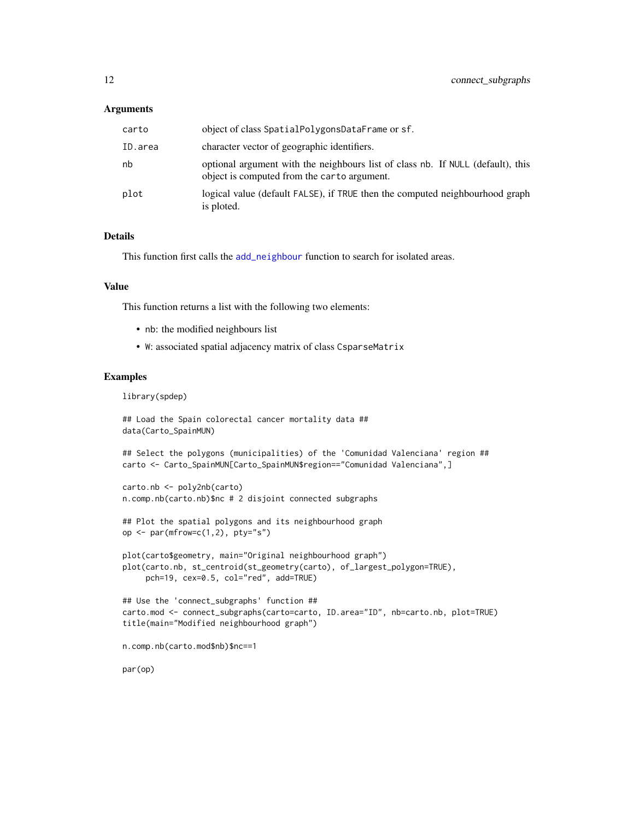#### <span id="page-11-0"></span>Arguments

| carto   | object of class SpatialPolygonsDataFrame or sf.                                                                                |
|---------|--------------------------------------------------------------------------------------------------------------------------------|
| ID.area | character vector of geographic identifiers.                                                                                    |
| nb      | optional argument with the neighbours list of class nb. If NULL (default), this<br>object is computed from the carto argument. |
| plot    | logical value (default FALSE), if TRUE then the computed neighbourhood graph<br>is ploted.                                     |

#### Details

This function first calls the [add\\_neighbour](#page-2-1) function to search for isolated areas.

#### Value

This function returns a list with the following two elements:

- nb: the modified neighbours list
- W: associated spatial adjacency matrix of class CsparseMatrix

#### Examples

library(spdep)

```
## Load the Spain colorectal cancer mortality data ##
data(Carto_SpainMUN)
```
## Select the polygons (municipalities) of the 'Comunidad Valenciana' region ## carto <- Carto\_SpainMUN[Carto\_SpainMUN\$region=="Comunidad Valenciana",]

```
carto.nb <- poly2nb(carto)
n.comp.nb(carto.nb)$nc # 2 disjoint connected subgraphs
```

```
## Plot the spatial polygons and its neighbourhood graph
op \leq par(mfrow=c(1,2), pty="s")
```

```
plot(carto$geometry, main="Original neighbourhood graph")
plot(carto.nb, st_centroid(st_geometry(carto), of_largest_polygon=TRUE),
    pch=19, cex=0.5, col="red", add=TRUE)
```

```
## Use the 'connect_subgraphs' function ##
carto.mod <- connect_subgraphs(carto=carto, ID.area="ID", nb=carto.nb, plot=TRUE)
title(main="Modified neighbourhood graph")
```

```
n.comp.nb(carto.mod$nb)$nc==1
```
par(op)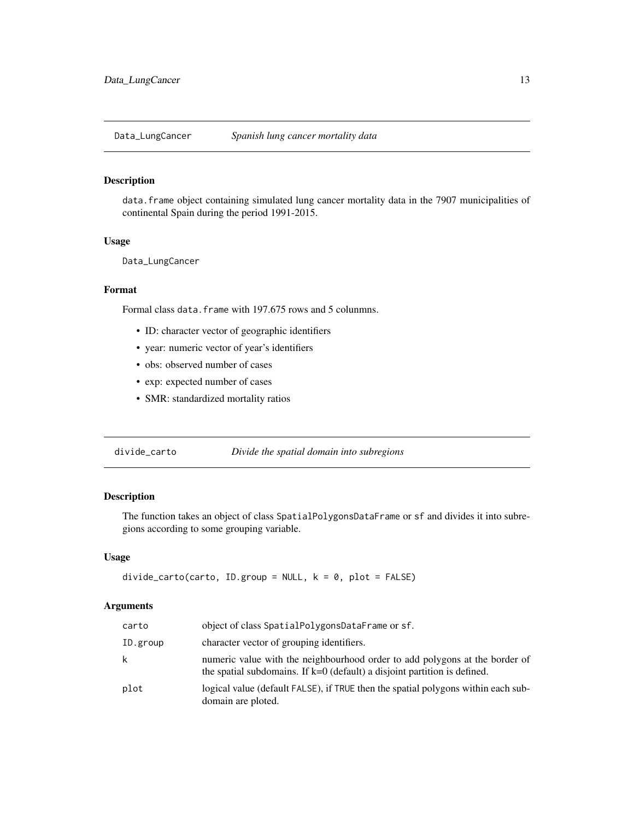<span id="page-12-0"></span>

#### Description

data.frame object containing simulated lung cancer mortality data in the 7907 municipalities of continental Spain during the period 1991-2015.

#### Usage

Data\_LungCancer

#### Format

Formal class data.frame with 197.675 rows and 5 colunmns.

- ID: character vector of geographic identifiers
- year: numeric vector of year's identifiers
- obs: observed number of cases
- exp: expected number of cases
- SMR: standardized mortality ratios

<span id="page-12-1"></span>

| divide_carto | Divide the spatial domain into subregions |
|--------------|-------------------------------------------|
|              |                                           |

#### Description

The function takes an object of class SpatialPolygonsDataFrame or sf and divides it into subregions according to some grouping variable.

#### Usage

```
divide_carto(carto, ID.group = NULL, k = 0, plot = FALSE)
```
#### Arguments

| carto    | object of class SpatialPolygonsDataFrame or sf.                                                                                                            |
|----------|------------------------------------------------------------------------------------------------------------------------------------------------------------|
| ID.group | character vector of grouping identifiers.                                                                                                                  |
| k        | numeric value with the neighbourhood order to add polygons at the border of<br>the spatial subdomains. If $k=0$ (default) a disjoint partition is defined. |
| plot     | logical value (default FALSE), if TRUE then the spatial polygons within each sub-<br>domain are ploted.                                                    |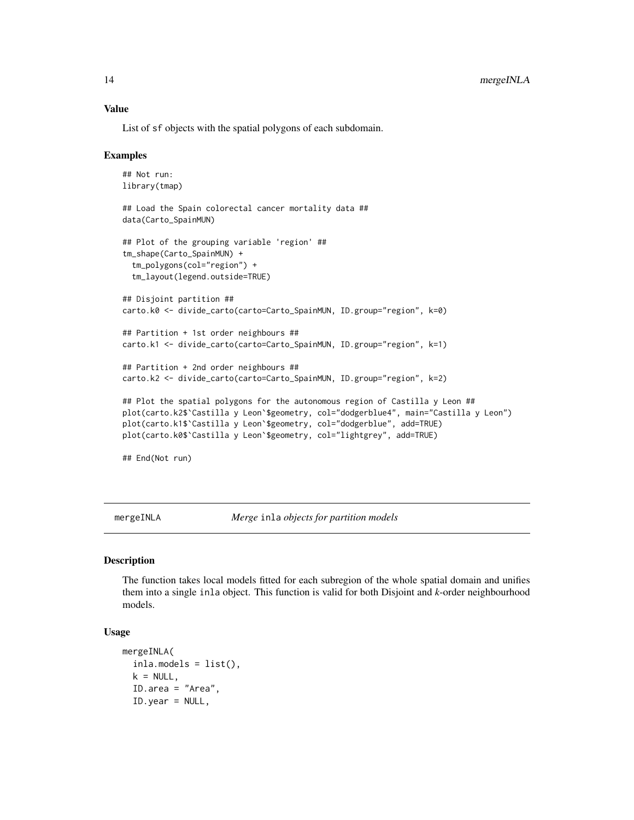#### <span id="page-13-0"></span>Value

List of sf objects with the spatial polygons of each subdomain.

#### Examples

```
## Not run:
library(tmap)
## Load the Spain colorectal cancer mortality data ##
data(Carto_SpainMUN)
## Plot of the grouping variable 'region' ##
tm_shape(Carto_SpainMUN) +
  tm_polygons(col="region") +
  tm_layout(legend.outside=TRUE)
## Disjoint partition ##
carto.k0 <- divide_carto(carto=Carto_SpainMUN, ID.group="region", k=0)
## Partition + 1st order neighbours ##
carto.k1 <- divide_carto(carto=Carto_SpainMUN, ID.group="region", k=1)
## Partition + 2nd order neighbours ##
carto.k2 <- divide_carto(carto=Carto_SpainMUN, ID.group="region", k=2)
## Plot the spatial polygons for the autonomous region of Castilla y Leon ##
plot(carto.k2$`Castilla y Leon`$geometry, col="dodgerblue4", main="Castilla y Leon")
plot(carto.k1$`Castilla y Leon`$geometry, col="dodgerblue", add=TRUE)
plot(carto.k0$`Castilla y Leon`$geometry, col="lightgrey", add=TRUE)
## End(Not run)
```
<span id="page-13-1"></span>mergeINLA *Merge* inla *objects for partition models*

#### **Description**

The function takes local models fitted for each subregion of the whole spatial domain and unifies them into a single inla object. This function is valid for both Disjoint and *k*-order neighbourhood models.

#### Usage

```
mergeINLA(
  inla.models = list(),
  k = NULL,ID.area = "Area",
  ID.year = NULL,
```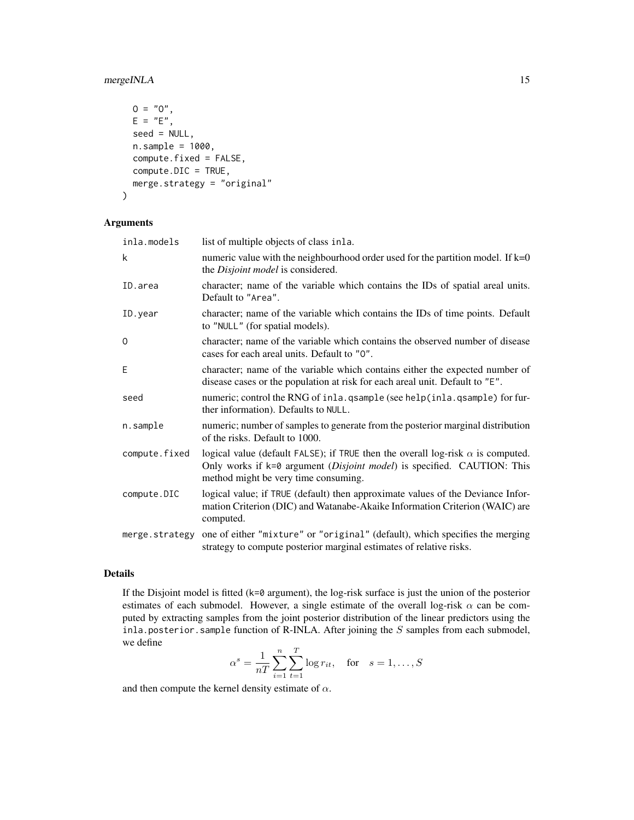#### mergeINLA 15

```
0 = "0",E = "E",seed = NULL,n.sample = 1000,
 compute.fixed = FALSE,
 compute.DIC = TRUE,
 merge.strategy = "original"
\mathcal{L}
```
#### Arguments

| inla.models    | list of multiple objects of class in la.                                                                                                                                                                           |
|----------------|--------------------------------------------------------------------------------------------------------------------------------------------------------------------------------------------------------------------|
| k              | numeric value with the neighbourhood order used for the partition model. If $k=0$<br>the Disjoint model is considered.                                                                                             |
| ID.area        | character; name of the variable which contains the IDs of spatial areal units.<br>Default to "Area".                                                                                                               |
| ID.year        | character; name of the variable which contains the IDs of time points. Default<br>to "NULL" (for spatial models).                                                                                                  |
| 0              | character; name of the variable which contains the observed number of disease<br>cases for each areal units. Default to "0".                                                                                       |
| E              | character; name of the variable which contains either the expected number of<br>disease cases or the population at risk for each areal unit. Default to "E".                                                       |
| seed           | numeric; control the RNG of inla. qsample (see help(inla. qsample) for fur-<br>ther information). Defaults to NULL.                                                                                                |
| n.sample       | numeric; number of samples to generate from the posterior marginal distribution<br>of the risks. Default to 1000.                                                                                                  |
| compute.fixed  | logical value (default FALSE); if TRUE then the overall log-risk $\alpha$ is computed.<br>Only works if k=0 argument ( <i>Disjoint model</i> ) is specified. CAUTION: This<br>method might be very time consuming. |
| compute.DIC    | logical value; if TRUE (default) then approximate values of the Deviance Infor-<br>mation Criterion (DIC) and Watanabe-Akaike Information Criterion (WAIC) are<br>computed.                                        |
| merge.strategy | one of either "mixture" or "original" (default), which specifies the merging<br>strategy to compute posterior marginal estimates of relative risks.                                                                |

#### Details

If the Disjoint model is fitted (k=0 argument), the log-risk surface is just the union of the posterior estimates of each submodel. However, a single estimate of the overall log-risk  $\alpha$  can be computed by extracting samples from the joint posterior distribution of the linear predictors using the inla.posterior.sample function of R-INLA. After joining the  $S$  samples from each submodel, we define

$$
\alpha^s = \frac{1}{nT} \sum_{i=1}^n \sum_{t=1}^T \log r_{it}
$$
, for  $s = 1, ..., S$ 

and then compute the kernel density estimate of  $\alpha$ .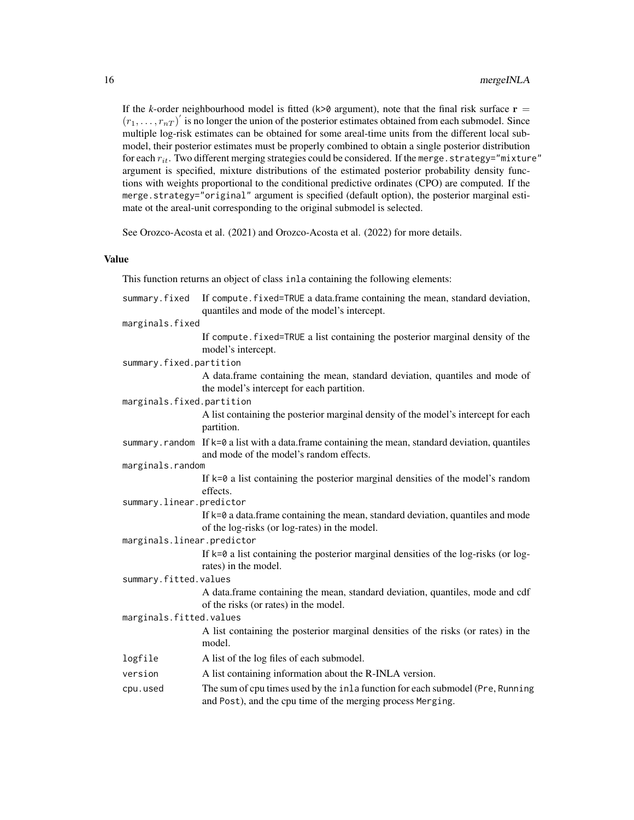If the *k*-order neighbourhood model is fitted ( $k > 0$  argument), note that the final risk surface  $r =$  $(r_1, \ldots, r_{nT})'$  is no longer the union of the posterior estimates obtained from each submodel. Since multiple log-risk estimates can be obtained for some areal-time units from the different local submodel, their posterior estimates must be properly combined to obtain a single posterior distribution for each  $r_{it}$ . Two different merging strategies could be considered. If the merge.strategy="mixture" argument is specified, mixture distributions of the estimated posterior probability density functions with weights proportional to the conditional predictive ordinates (CPO) are computed. If the merge.strategy="original" argument is specified (default option), the posterior marginal estimate ot the areal-unit corresponding to the original submodel is selected.

See Orozco-Acosta et al. (2021) and Orozco-Acosta et al. (2022) for more details.

#### Value

This function returns an object of class inla containing the following elements:

| summary.fixed              | If compute fixed=TRUE a data.frame containing the mean, standard deviation,<br>quantiles and mode of the model's intercept.                    |
|----------------------------|------------------------------------------------------------------------------------------------------------------------------------------------|
| marginals.fixed            |                                                                                                                                                |
|                            | If compute fixed=TRUE a list containing the posterior marginal density of the<br>model's intercept.                                            |
| summary.fixed.partition    |                                                                                                                                                |
|                            | A data.frame containing the mean, standard deviation, quantiles and mode of<br>the model's intercept for each partition.                       |
| marginals.fixed.partition  |                                                                                                                                                |
|                            | A list containing the posterior marginal density of the model's intercept for each<br>partition.                                               |
|                            | summary.random If $k=0$ a list with a data.frame containing the mean, standard deviation, quantiles<br>and mode of the model's random effects. |
| marginals.random           |                                                                                                                                                |
|                            | If $k=0$ a list containing the posterior marginal densities of the model's random                                                              |
|                            | effects.                                                                                                                                       |
| summary.linear.predictor   |                                                                                                                                                |
|                            | If k=0 a data.frame containing the mean, standard deviation, quantiles and mode<br>of the log-risks (or log-rates) in the model.               |
| marginals.linear.predictor |                                                                                                                                                |
|                            | If $k=0$ a list containing the posterior marginal densities of the log-risks (or log-<br>rates) in the model.                                  |
| summary.fitted.values      |                                                                                                                                                |
|                            | A data.frame containing the mean, standard deviation, quantiles, mode and cdf<br>of the risks (or rates) in the model.                         |
| marginals.fitted.values    |                                                                                                                                                |
|                            | A list containing the posterior marginal densities of the risks (or rates) in the<br>model.                                                    |
| logfile                    | A list of the log files of each submodel.                                                                                                      |
| version                    | A list containing information about the R-INLA version.                                                                                        |
| cpu.used                   | The sum of cpu times used by the inla function for each submodel (Pre, Running<br>and Post), and the cpu time of the merging process Merging.  |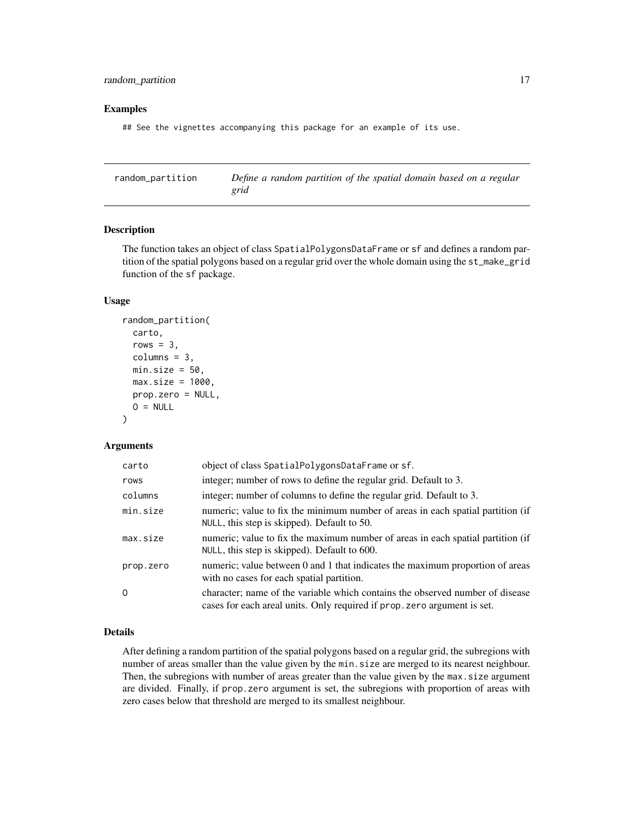#### <span id="page-16-0"></span>Examples

## See the vignettes accompanying this package for an example of its use.

<span id="page-16-1"></span>random\_partition *Define a random partition of the spatial domain based on a regular grid*

#### Description

The function takes an object of class SpatialPolygonsDataFrame or sf and defines a random partition of the spatial polygons based on a regular grid over the whole domain using the st\_make\_grid function of the sf package.

#### Usage

```
random_partition(
  carto,
  rows = 3.
  columns = 3,
 min.size = 50,
 max.size = 1000,prop.zero = NULL,
 O = NULL)
```
#### Arguments

| carto     | object of class SpatialPolygonsDataFrame or sf.                                                                                                           |
|-----------|-----------------------------------------------------------------------------------------------------------------------------------------------------------|
| rows      | integer; number of rows to define the regular grid. Default to 3.                                                                                         |
| columns   | integer; number of columns to define the regular grid. Default to 3.                                                                                      |
| min.size  | numeric; value to fix the minimum number of areas in each spatial partition (if<br>NULL, this step is skipped). Default to 50.                            |
| max.size  | numeric; value to fix the maximum number of areas in each spatial partition (if<br>NULL, this step is skipped). Default to 600.                           |
| prop.zero | numeric; value between 0 and 1 that indicates the maximum proportion of areas<br>with no cases for each spatial partition.                                |
| 0         | character; name of the variable which contains the observed number of disease<br>cases for each areal units. Only required if prop. zero argument is set. |

#### Details

After defining a random partition of the spatial polygons based on a regular grid, the subregions with number of areas smaller than the value given by the min.size are merged to its nearest neighbour. Then, the subregions with number of areas greater than the value given by the max. size argument are divided. Finally, if prop.zero argument is set, the subregions with proportion of areas with zero cases below that threshold are merged to its smallest neighbour.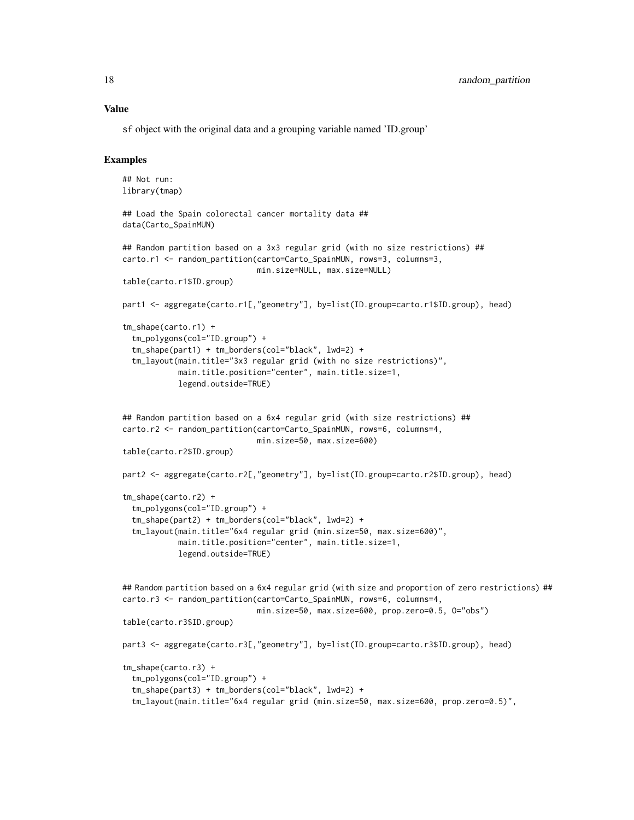sf object with the original data and a grouping variable named 'ID.group'

#### Examples

```
## Not run:
library(tmap)
## Load the Spain colorectal cancer mortality data ##
data(Carto_SpainMUN)
## Random partition based on a 3x3 regular grid (with no size restrictions) ##
carto.r1 <- random_partition(carto=Carto_SpainMUN, rows=3, columns=3,
                             min.size=NULL, max.size=NULL)
table(carto.r1$ID.group)
part1 <- aggregate(carto.r1[,"geometry"], by=list(ID.group=carto.r1$ID.group), head)
tm_shape(carto.r1) +
 tm_polygons(col="ID.group") +
 tm_shape(part1) + tm_borders(col="black", lwd=2) +
 tm_layout(main.title="3x3 regular grid (with no size restrictions)",
            main.title.position="center", main.title.size=1,
            legend.outside=TRUE)
## Random partition based on a 6x4 regular grid (with size restrictions) ##
carto.r2 <- random_partition(carto=Carto_SpainMUN, rows=6, columns=4,
                             min.size=50, max.size=600)
table(carto.r2$ID.group)
part2 <- aggregate(carto.r2[,"geometry"], by=list(ID.group=carto.r2$ID.group), head)
tm_shape(carto.r2) +
 tm_polygons(col="ID.group") +
 tm_shape(part2) + tm_borders(col="black", lwd=2) +
 tm_layout(main.title="6x4 regular grid (min.size=50, max.size=600)",
            main.title.position="center", main.title.size=1,
            legend.outside=TRUE)
## Random partition based on a 6x4 regular grid (with size and proportion of zero restrictions) ##
carto.r3 <- random_partition(carto=Carto_SpainMUN, rows=6, columns=4,
                             min.size=50, max.size=600, prop.zero=0.5, O="obs")
table(carto.r3$ID.group)
part3 <- aggregate(carto.r3[,"geometry"], by=list(ID.group=carto.r3$ID.group), head)
tm_shape(carto.r3) +
 tm_polygons(col="ID.group") +
 tm_shape(part3) + tm_borders(col="black", lwd=2) +
 tm_layout(main.title="6x4 regular grid (min.size=50, max.size=600, prop.zero=0.5)",
```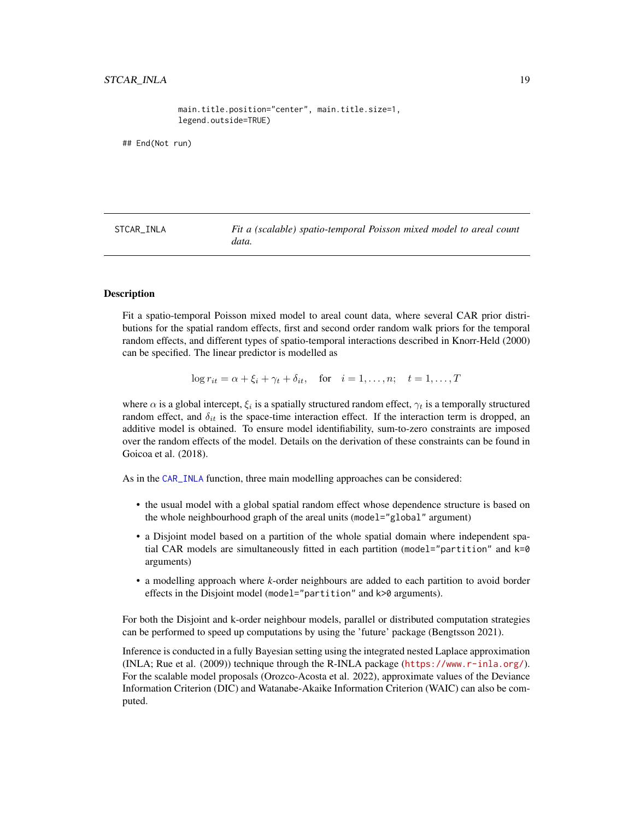main.title.position="center", main.title.size=1, legend.outside=TRUE)

<span id="page-18-0"></span>## End(Not run)

<span id="page-18-1"></span>STCAR\_INLA *Fit a (scalable) spatio-temporal Poisson mixed model to areal count data.*

#### Description

Fit a spatio-temporal Poisson mixed model to areal count data, where several CAR prior distributions for the spatial random effects, first and second order random walk priors for the temporal random effects, and different types of spatio-temporal interactions described in Knorr-Held (2000) can be specified. The linear predictor is modelled as

 $\log r_{it} = \alpha + \xi_i + \gamma_t + \delta_{it}$ , for  $i = 1, \ldots, n; t = 1, \ldots, T$ 

where  $\alpha$  is a global intercept,  $\xi_i$  is a spatially structured random effect,  $\gamma_t$  is a temporally structured random effect, and  $\delta_{it}$  is the space-time interaction effect. If the interaction term is dropped, an additive model is obtained. To ensure model identifiability, sum-to-zero constraints are imposed over the random effects of the model. Details on the derivation of these constraints can be found in Goicoa et al. (2018).

As in the [CAR\\_INLA](#page-4-1) function, three main modelling approaches can be considered:

- the usual model with a global spatial random effect whose dependence structure is based on the whole neighbourhood graph of the areal units (model="global" argument)
- a Disjoint model based on a partition of the whole spatial domain where independent spatial CAR models are simultaneously fitted in each partition (model="partition" and k=0 arguments)
- a modelling approach where *k*-order neighbours are added to each partition to avoid border effects in the Disjoint model (model="partition" and k>0 arguments).

For both the Disjoint and k-order neighbour models, parallel or distributed computation strategies can be performed to speed up computations by using the 'future' package (Bengtsson 2021).

Inference is conducted in a fully Bayesian setting using the integrated nested Laplace approximation (INLA; Rue et al. (2009)) technique through the R-INLA package (<https://www.r-inla.org/>). For the scalable model proposals (Orozco-Acosta et al. 2022), approximate values of the Deviance Information Criterion (DIC) and Watanabe-Akaike Information Criterion (WAIC) can also be computed.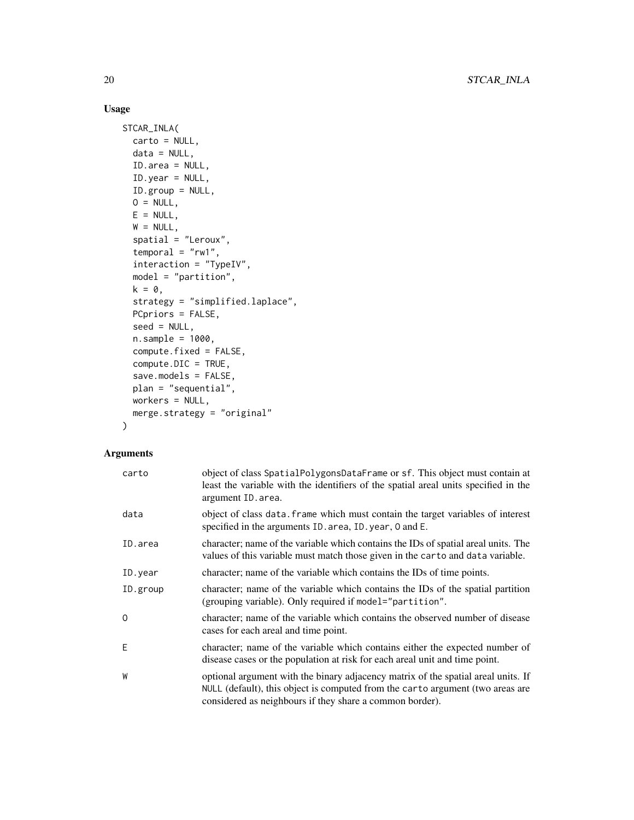#### Usage

```
STCAR_INLA(
 carto = NULL,
  data = NULL,ID.area = NULL,
 ID.year = NULL,
 ID.group = NULL,
 0 = NULL,E = NULL,W = NULL,spatial = "Leroux",
  temporal = "rw1",interaction = "TypeIV",
 model = "partition",
 k = 0,strategy = "simplified.laplace",
 PCpriors = FALSE,
  seed = NULL,
  n.sample = 1000,
 compute.fixed = FALSE,
  compute.DIC = TRUE,
  save.models = FALSE,
 plan = "sequential",
 workers = NULL,
 merge.strategy = "original"
\mathcal{L}
```
#### Arguments

| carto    | object of class SpatialPolygonsDataFrame or sf. This object must contain at<br>least the variable with the identifiers of the spatial areal units specified in the<br>argument ID. area.                                        |
|----------|---------------------------------------------------------------------------------------------------------------------------------------------------------------------------------------------------------------------------------|
| data     | object of class data. Frame which must contain the target variables of interest<br>specified in the arguments ID. area, ID. year, 0 and E.                                                                                      |
| ID.area  | character; name of the variable which contains the IDs of spatial areal units. The<br>values of this variable must match those given in the carto and data variable.                                                            |
| ID.year  | character; name of the variable which contains the IDs of time points.                                                                                                                                                          |
| ID.group | character; name of the variable which contains the IDs of the spatial partition<br>(grouping variable). Only required if model="partition".                                                                                     |
| $\Omega$ | character; name of the variable which contains the observed number of disease<br>cases for each areal and time point.                                                                                                           |
| E        | character; name of the variable which contains either the expected number of<br>disease cases or the population at risk for each areal unit and time point.                                                                     |
| W        | optional argument with the binary adjacency matrix of the spatial areal units. If<br>NULL (default), this object is computed from the carto argument (two areas are<br>considered as neighbours if they share a common border). |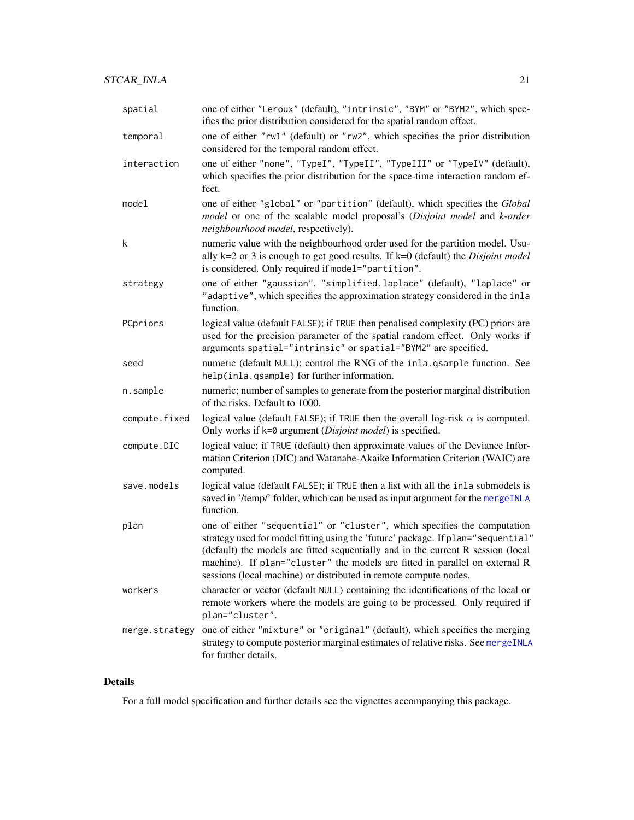<span id="page-20-0"></span>

| spatial       | one of either "Leroux" (default), "intrinsic", "BYM" or "BYM2", which spec-<br>ifies the prior distribution considered for the spatial random effect.                                                                              |
|---------------|------------------------------------------------------------------------------------------------------------------------------------------------------------------------------------------------------------------------------------|
| temporal      | one of either "rw1" (default) or "rw2", which specifies the prior distribution<br>considered for the temporal random effect.                                                                                                       |
| interaction   | one of either "none", "TypeI", "TypeII", "TypeIII" or "TypeIV" (default),<br>which specifies the prior distribution for the space-time interaction random ef-<br>fect.                                                             |
| model         | one of either "global" or "partition" (default), which specifies the Global<br>model or one of the scalable model proposal's (Disjoint model and k-order<br>neighbourhood model, respectively).                                    |
| k             | numeric value with the neighbourhood order used for the partition model. Usu-<br>ally $k=2$ or 3 is enough to get good results. If $k=0$ (default) the <i>Disjoint model</i><br>is considered. Only required if model="partition". |
| strategy      | one of either "gaussian", "simplified.laplace" (default), "laplace" or<br>"adaptive", which specifies the approximation strategy considered in the inla<br>function.                                                               |
| PCpriors      | logical value (default FALSE); if TRUE then penalised complexity (PC) priors are<br>used for the precision parameter of the spatial random effect. Only works if<br>arguments spatial="intrinsic" or spatial="BYM2" are specified. |
| seed          | numeric (default NULL); control the RNG of the inla.qsample function. See<br>help(inla.qsample) for further information.                                                                                                           |
| n.sample      | numeric; number of samples to generate from the posterior marginal distribution<br>of the risks. Default to 1000.                                                                                                                  |
| compute.fixed | logical value (default FALSE); if TRUE then the overall log-risk $\alpha$ is computed.<br>Only works if k=0 argument (Disjoint model) is specified.                                                                                |
| compute.DIC   | logical value; if TRUE (default) then approximate values of the Deviance Infor-<br>mation Criterion (DIC) and Watanabe-Akaike Information Criterion (WAIC) are<br>computed.                                                        |
| save.models   | logical value (default FALSE); if TRUE then a list with all the inla submodels is<br>saved in '/temp/' folder, which can be used as input argument for the mergeINLA<br>function.                                                  |
| plan          | one of either "sequential" or "cluster", which specifies the computation<br>strategy used for model fitting using the 'future' package. If plan="sequential"                                                                       |

- (default) the models are fitted sequentially and in the current R session (local machine). If plan="cluster" the models are fitted in parallel on external R sessions (local machine) or distributed in remote compute nodes. workers character or vector (default NULL) containing the identifications of the local or
- remote workers where the models are going to be processed. Only required if plan="cluster". merge.strategy one of either "mixture" or "original" (default), which specifies the merging

# strategy to compute posterior marginal estimates of relative risks. See [mergeINLA](#page-13-1) for further details.

#### Details

For a full model specification and further details see the vignettes accompanying this package.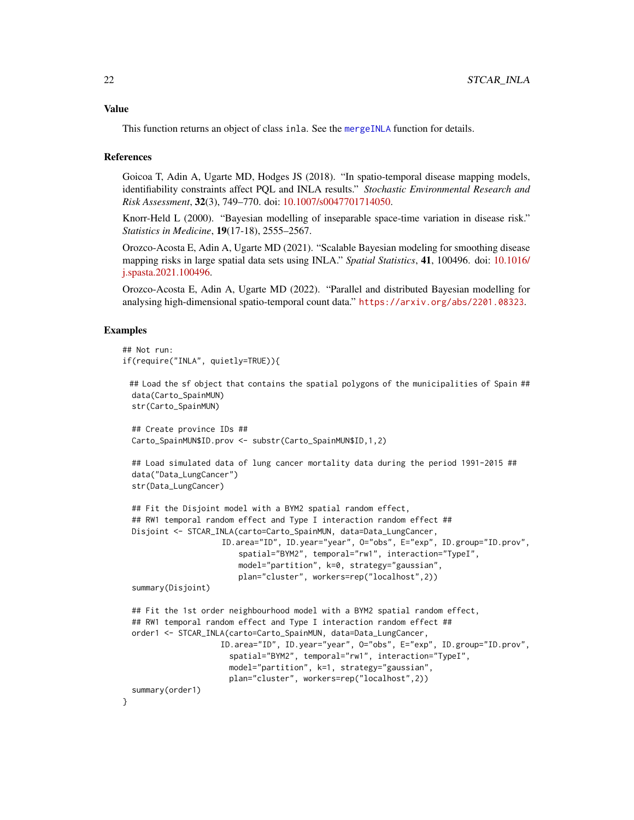<span id="page-21-0"></span>This function returns an object of class inla. See the [mergeINLA](#page-13-1) function for details.

#### References

Goicoa T, Adin A, Ugarte MD, Hodges JS (2018). "In spatio-temporal disease mapping models, identifiability constraints affect PQL and INLA results." *Stochastic Environmental Research and Risk Assessment*, 32(3), 749–770. doi: [10.1007/s0047701714050.](https://doi.org/10.1007/s00477-017-1405-0)

Knorr-Held L (2000). "Bayesian modelling of inseparable space-time variation in disease risk." *Statistics in Medicine*, 19(17-18), 2555–2567.

Orozco-Acosta E, Adin A, Ugarte MD (2021). "Scalable Bayesian modeling for smoothing disease mapping risks in large spatial data sets using INLA." *Spatial Statistics*, 41, 100496. doi: [10.1016/](https://doi.org/10.1016/j.spasta.2021.100496) [j.spasta.2021.100496.](https://doi.org/10.1016/j.spasta.2021.100496)

Orozco-Acosta E, Adin A, Ugarte MD (2022). "Parallel and distributed Bayesian modelling for analysing high-dimensional spatio-temporal count data." <https://arxiv.org/abs/2201.08323>.

#### Examples

```
## Not run:
if(require("INLA", quietly=TRUE)){
 ## Load the sf object that contains the spatial polygons of the municipalities of Spain ##
 data(Carto_SpainMUN)
 str(Carto_SpainMUN)
 ## Create province IDs ##
 Carto_SpainMUN$ID.prov <- substr(Carto_SpainMUN$ID,1,2)
 ## Load simulated data of lung cancer mortality data during the period 1991-2015 ##
 data("Data_LungCancer")
 str(Data_LungCancer)
 ## Fit the Disjoint model with a BYM2 spatial random effect,
 ## RW1 temporal random effect and Type I interaction random effect ##
 Disjoint <- STCAR_INLA(carto=Carto_SpainMUN, data=Data_LungCancer,
                     ID.area="ID", ID.year="year", O="obs", E="exp", ID.group="ID.prov",
                         spatial="BYM2", temporal="rw1", interaction="TypeI",
                         model="partition", k=0, strategy="gaussian",
                         plan="cluster", workers=rep("localhost",2))
 summary(Disjoint)
 ## Fit the 1st order neighbourhood model with a BYM2 spatial random effect,
 ## RW1 temporal random effect and Type I interaction random effect ##
 order1 <- STCAR_INLA(carto=Carto_SpainMUN, data=Data_LungCancer,
                     ID.area="ID", ID.year="year", O="obs", E="exp", ID.group="ID.prov",
                       spatial="BYM2", temporal="rw1", interaction="TypeI",
                       model="partition", k=1, strategy="gaussian",
                       plan="cluster", workers=rep("localhost",2))
 summary(order1)
}
```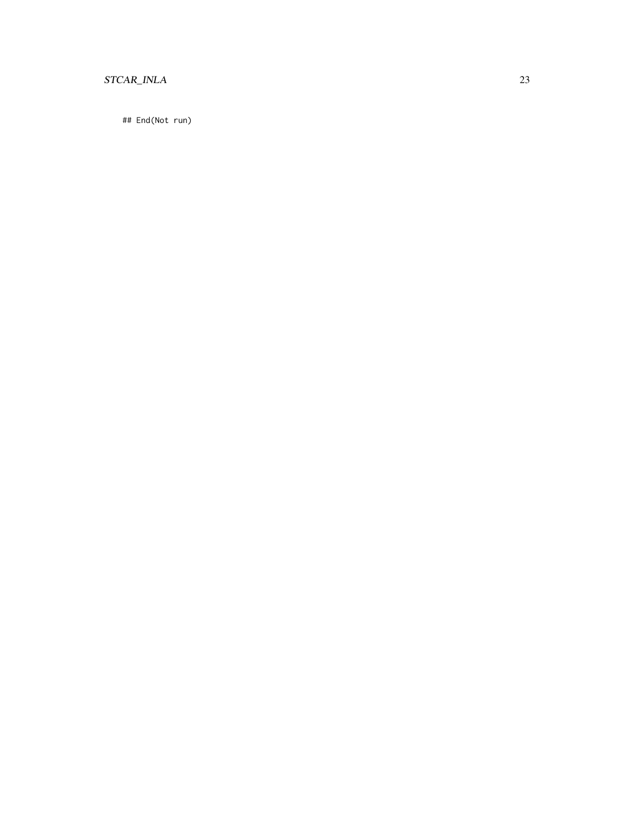### STCAR\_INLA 23

## End(Not run)